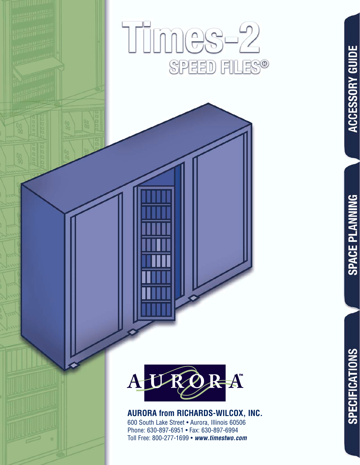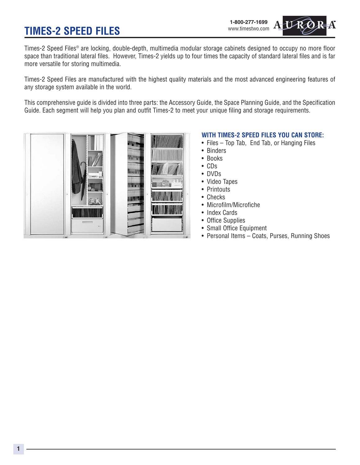# **TIMES-2 SPEED FILES**



Times-2 Speed Files® are locking, double-depth, multimedia modular storage cabinets designed to occupy no more floor space than traditional lateral files. However, Times-2 yields up to four times the capacity of standard lateral files and is far more versatile for storing multimedia.

Times-2 Speed Files are manufactured with the highest quality materials and the most advanced engineering features of any storage system available in the world.

This comprehensive guide is divided into three parts: the Accessory Guide, the Space Planning Guide, and the Specification Guide. Each segment will help you plan and outfit Times-2 to meet your unique filing and storage requirements.



#### **WITH TIMES-2 SPEED FILES YOU CAN STORE:**

- Files Top Tab, End Tab, or Hanging Files
- Binders
- Books
- CDs
- DVDs
- Video Tapes
- Printouts
- Checks
- Microfilm/Microfiche
- Index Cards
- Office Supplies
- Small Office Equipment
- Personal Items Coats, Purses, Running Shoes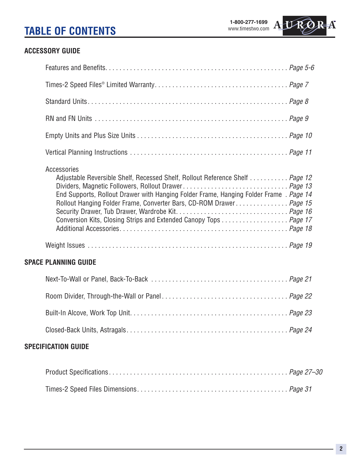# **TABLE OF CONTENTS**

**1-800-277-1699** www.timestwo.com



## **ACCESSORY GUIDE**

| Accessories<br>Adjustable Reversible Shelf, Recessed Shelf, Rollout Reference Shelf  Page 12<br>End Supports, Rollout Drawer with Hanging Folder Frame, Hanging Folder Frame. Page 14<br>Rollout Hanging Folder Frame, Converter Bars, CD-ROM Drawer Page 15<br>Conversion Kits, Closing Strips and Extended Canopy Tops Page 17 |
|----------------------------------------------------------------------------------------------------------------------------------------------------------------------------------------------------------------------------------------------------------------------------------------------------------------------------------|
|                                                                                                                                                                                                                                                                                                                                  |
| <b>SPACE PLANNING GUIDE</b>                                                                                                                                                                                                                                                                                                      |
|                                                                                                                                                                                                                                                                                                                                  |
|                                                                                                                                                                                                                                                                                                                                  |
|                                                                                                                                                                                                                                                                                                                                  |
|                                                                                                                                                                                                                                                                                                                                  |
| <b>SPECIFICATION GUIDE</b>                                                                                                                                                                                                                                                                                                       |
|                                                                                                                                                                                                                                                                                                                                  |
|                                                                                                                                                                                                                                                                                                                                  |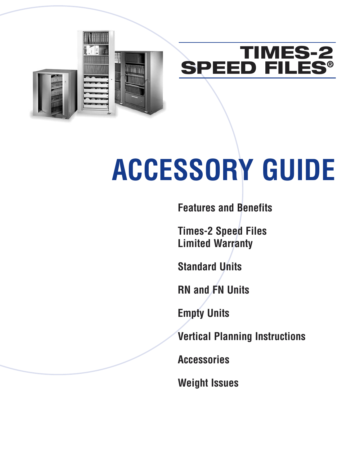



# **ACCESSORY GUIDE**

**Features and Benefits**

**Times-2 Speed Files Limited Warranty**

**Standard Units**

**RN and FN Units**

**Empty Units**

**Vertical Planning Instructions**

**Accessories**

**Weight Issues**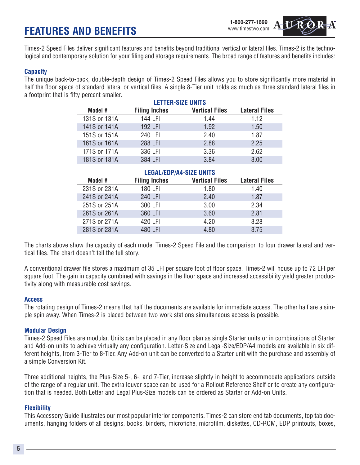# **FEATURES AND BENEFITS**

Times-2 Speed Files deliver significant features and benefits beyond traditional vertical or lateral files. Times-2 is the technological and contemporary solution for your filing and storage requirements. The broad range of features and benefits includes:

#### **Capacity**

The unique back-to-back, double-depth design of Times-2 Speed Files allows you to store significantly more material in half the floor space of standard lateral or vertical files. A single 8-Tier unit holds as much as three standard lateral files in a footprint that is fifty percent smaller.

| <b>LETTER-SIZE UNITS</b> |                      |                       |                      |
|--------------------------|----------------------|-----------------------|----------------------|
| Model #                  | <b>Filing Inches</b> | <b>Vertical Files</b> | <b>Lateral Files</b> |
| 131S or 131A             | 144 LFI              | 1.44                  | 1.12                 |
| 141S or 141A             | 192 LFI              | 1.92                  | 1.50                 |
| 151S or 151A             | 240 LFI              | 2.40                  | 1.87                 |
| 161S or 161A             | 288 LFI              | 2.88                  | 2.25                 |
| 171S or 171A             | 336 LFI              | 3.36                  | 2.62                 |
| 181S or 181A             | 384 LFI              | 3.84                  | 3.00                 |

| <b>LEGAL/EDP/A4-SIZE UNITS</b> |                      |                       |                      |
|--------------------------------|----------------------|-----------------------|----------------------|
| Model #                        | <b>Filing Inches</b> | <b>Vertical Files</b> | <b>Lateral Files</b> |
| 231S or 231A                   | 180 LFI              | 1.80                  | 1.40                 |
| 241S or 241A                   | 240 LFI              | 2.40                  | 1.87                 |
| 251S or 251A                   | 300 LFI              | 3.00                  | 2.34                 |
| 261S or 261A                   | 360 LFI              | 3.60                  | 2.81                 |
| 271S or 271A                   | 420 LFI              | 4.20                  | 3.28                 |
| 281S or 281A                   | 480 LFI              | 4.80                  | 3 75                 |

The charts above show the capacity of each model Times-2 Speed File and the comparison to four drawer lateral and vertical files. The chart doesn't tell the full story.

A conventional drawer file stores a maximum of 35 LFI per square foot of floor space. Times-2 will house up to 72 LFI per square foot. The gain in capacity combined with savings in the floor space and increased accessibility yield greater productivity along with measurable cost savings.

#### **Access**

The rotating design of Times-2 means that half the documents are available for immediate access. The other half are a simple spin away. When Times-2 is placed between two work stations simultaneous access is possible.

#### **Modular Design**

Times-2 Speed Files are modular. Units can be placed in any floor plan as single Starter units or in combinations of Starter and Add-on units to achieve virtually any configuration. Letter-Size and Legal-Size/EDP/A4 models are available in six different heights, from 3-Tier to 8-Tier. Any Add-on unit can be converted to a Starter unit with the purchase and assembly of a simple Conversion Kit.

Three additional heights, the Plus-Size 5-, 6-, and 7-Tier, increase slightly in height to accommodate applications outside of the range of a regular unit. The extra louver space can be used for a Rollout Reference Shelf or to create any configuration that is needed. Both Letter and Legal Plus-Size models can be ordered as Starter or Add-on Units.

#### **Flexibility**

This Accessory Guide illustrates our most popular interior components. Times-2 can store end tab documents, top tab documents, hanging folders of all designs, books, binders, microfiche, microfilm, diskettes, CD-ROM, EDP printouts, boxes,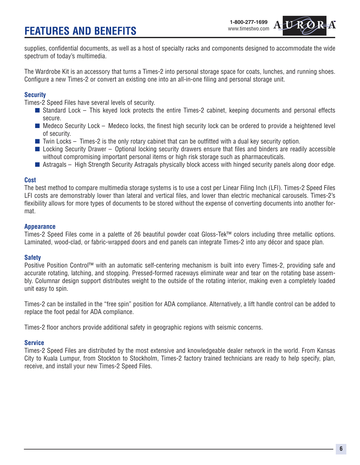# **FEATURES AND BENEFITS**



supplies, confidential documents, as well as a host of specialty racks and components designed to accommodate the wide spectrum of today's multimedia.

The Wardrobe Kit is an accessory that turns a Times-2 into personal storage space for coats, lunches, and running shoes. Configure a new Times-2 or convert an existing one into an all-in-one filing and personal storage unit.

#### **Security**

Times-2 Speed Files have several levels of security.

- Standard Lock This keyed lock protects the entire Times-2 cabinet, keeping documents and personal effects secure.
- Medeco Security Lock Medeco locks, the finest high security lock can be ordered to provide a heightened level of security.
- $\blacksquare$  Twin Locks Times-2 is the only rotary cabinet that can be outfitted with a dual key security option.
- Locking Security Drawer Optional locking security drawers ensure that files and binders are readily accessible without compromising important personal items or high risk storage such as pharmaceuticals.
- Astragals High Strength Security Astragals physically block access with hinged security panels along door edge.

#### **Cost**

The best method to compare multimedia storage systems is to use a cost per Linear Filing Inch (LFI). Times-2 Speed Files LFI costs are demonstrably lower than lateral and vertical files, and lower than electric mechanical carousels. Times-2's flexibility allows for more types of documents to be stored without the expense of converting documents into another format.

#### **Appearance**

Times-2 Speed Files come in a palette of 26 beautiful powder coat Gloss-Tek™ colors including three metallic options. Laminated, wood-clad, or fabric-wrapped doors and end panels can integrate Times-2 into any décor and space plan.

#### **Safety**

Positive Position Control™ with an automatic self-centering mechanism is built into every Times-2, providing safe and accurate rotating, latching, and stopping. Pressed-formed raceways eliminate wear and tear on the rotating base assembly. Columnar design support distributes weight to the outside of the rotating interior, making even a completely loaded unit easy to spin.

Times-2 can be installed in the "free spin" position for ADA compliance. Alternatively, a lift handle control can be added to replace the foot pedal for ADA compliance.

Times-2 floor anchors provide additional safety in geographic regions with seismic concerns.

#### **Service**

Times-2 Speed Files are distributed by the most extensive and knowledgeable dealer network in the world. From Kansas City to Kuala Lumpur, from Stockton to Stockholm, Times-2 factory trained technicians are ready to help specify, plan, receive, and install your new Times-2 Speed Files.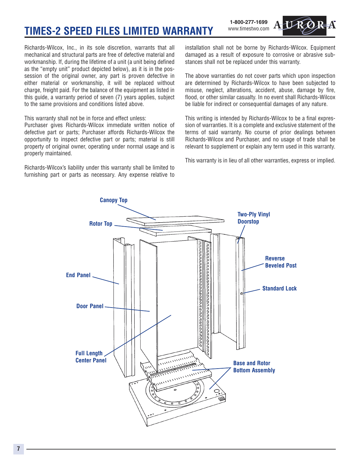# **TIMES-2 SPEED FILES LIMITED WARRANTY**

**1-800-277-1699** www.timestwo.com



Richards-Wilcox, Inc., in its sole discretion, warrants that all mechanical and structural parts are free of defective material and workmanship. If, during the lifetime of a unit (a unit being defined as the "empty unit" product depicted below), as it is in the possession of the original owner, any part is proven defective in either material or workmanship, it will be replaced without charge, freight paid. For the balance of the equipment as listed in this guide, a warranty period of seven (7) years applies, subject to the same provisions and conditions listed above.

This warranty shall not be in force and effect unless:

Purchaser gives Richards-Wilcox immediate written notice of defective part or parts; Purchaser affords Richards-Wilcox the opportunity to inspect defective part or parts; material is still property of original owner, operating under normal usage and is properly maintained.

Richards-Wilcox's liability under this warranty shall be limited to furnishing part or parts as necessary. Any expense relative to installation shall not be borne by Richards-Wilcox. Equipment damaged as a result of exposure to corrosive or abrasive substances shall not be replaced under this warranty.

The above warranties do not cover parts which upon inspection are determined by Richards-Wilcox to have been subjected to misuse, neglect, alterations, accident, abuse, damage by fire, flood, or other similar casualty. In no event shall Richards-Wilcox be liable for indirect or consequential damages of any nature.

This writing is intended by Richards-Wilcox to be a final expression of warranties. It is a complete and exclusive statement of the terms of said warranty. No course of prior dealings between Richards-Wilcox and Purchaser, and no usage of trade shall be relevant to supplement or explain any term used in this warranty.

This warranty is in lieu of all other warranties, express or implied.

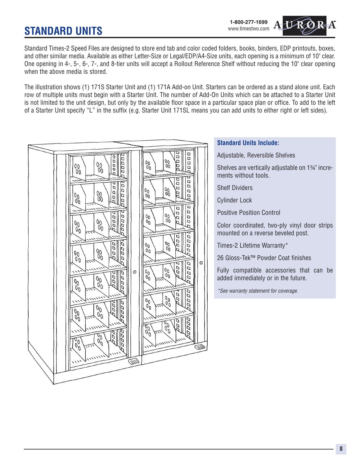# **STANDARD UNITS**

Standard Times-2 Speed Files are designed to store end tab and color coded folders, books, binders, EDP printouts, boxes, and other similar media. Available as either Letter-Size or Legal/EDP/A4-Size units, each opening is a minimum of 10" clear. One opening in 4-, 5-, 6-, 7-, and 8-tier units will accept a Rollout Reference Shelf without reducing the 10" clear opening when the above media is stored.

The illustration shows (1) 171S Starter Unit and (1) 171A Add-on Unit. Starters can be ordered as a stand alone unit. Each row of multiple units must begin with a Starter Unit. The number of Add-On Units which can be attached to a Starter Unit is not limited to the unit design, but only by the available floor space in a particular space plan or office. To add to the left of a Starter Unit specify "L" in the suffix (e.g. Starter Unit 171SL means you can add units to either right or left sides).

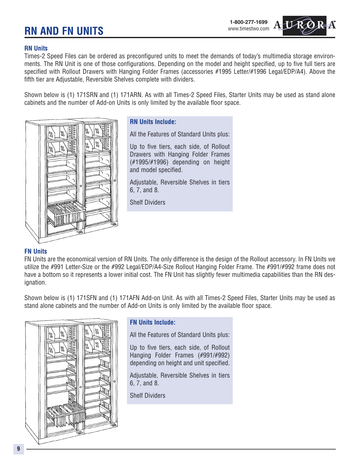# **RN AND FN UNITS**

#### **RN Units**

Times-2 Speed Files can be ordered as preconfigured units to meet the demands of today's multimedia storage environments. The RN Unit is one of those configurations. Depending on the model and height specified, up to five full tiers are specified with Rollout Drawers with Hanging Folder Frames (accessories #1995 Letter/#1996 Legal/EDP/A4). Above the fifth tier are Adjustable, Reversible Shelves complete with dividers.

Shown below is (1) 171SRN and (1) 171ARN. As with all Times-2 Speed Files, Starter Units may be used as stand alone cabinets and the number of Add-on Units is only limited by the available floor space.



#### **RN Units Include:**

All the Features of Standard Units plus:

Up to five tiers, each side, of Rollout Drawers with Hanging Folder Frames (#1995/#1996) depending on height and model specified.

Adjustable, Reversible Shelves in tiers 6, 7, and 8.

Shelf Dividers

#### **FN Units**

FN Units are the economical version of RN Units. The only difference is the design of the Rollout accessory. In FN Units we utilize the #991 Letter-Size or the #992 Legal/EDP/A4-Size Rollout Hanging Folder Frame. The #991/#992 frame does not have a bottom so it represents a lower initial cost. The FN Unit has slightly fewer multimedia capabilities than the RN designation.

Shown below is (1) 171SFN and (1) 171AFN Add-on Unit. As with all Times-2 Speed Files, Starter Units may be used as stand alone cabinets and the number of Add-on Units is only limited by the available floor space.



#### **FN Units Include:**

All the Features of Standard Units plus:

Up to five tiers, each side, of Rollout Hanging Folder Frames (#991/#992) depending on height and unit specified.

Adjustable, Reversible Shelves in tiers 6, 7, and 8.

Shelf Dividers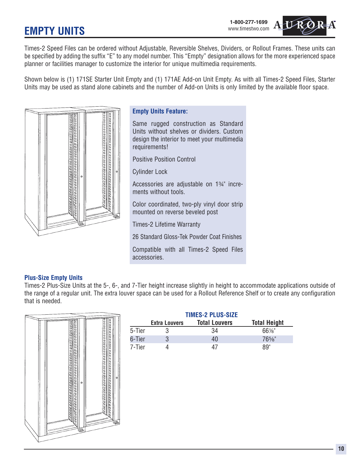**EMPTY UNITS**



Times-2 Speed Files can be ordered without Adjustable, Reversible Shelves, Dividers, or Rollout Frames. These units can be specified by adding the suffix "E" to any model number. This "Empty" designation allows for the more experienced space planner or facilities manager to customize the interior for unique multimedia requirements.

Shown below is (1) 171SE Starter Unit Empty and (1) 171AE Add-on Unit Empty. As with all Times-2 Speed Files, Starter Units may be used as stand alone cabinets and the number of Add-on Units is only limited by the available floor space.



#### **Empty Units Feature:**

Same rugged construction as Standard Units without shelves or dividers. Custom design the interior to meet your multimedia requirements!

Positive Position Control

Cylinder Lock

Accessories are adjustable on 1%" increments without tools.

Color coordinated, two-ply vinyl door strip mounted on reverse beveled post

Times-2 Lifetime Warranty

26 Standard Gloss-Tek Powder Coat Finishes

Compatible with all Times-2 Speed Files accessories.

#### **Plus-Size Empty Units**

Times-2 Plus-Size Units at the 5-, 6-, and 7-Tier height increase slightly in height to accommodate applications outside of the range of a regular unit. The extra louver space can be used for a Rollout Reference Shelf or to create any configuration that is needed.



|        | <b>TIMES-2 PLUS-SIZE</b> |                      |                     |  |
|--------|--------------------------|----------------------|---------------------|--|
|        | <b>Extra Louvers</b>     | <b>Total Louvers</b> | <b>Total Height</b> |  |
| 5-Tier |                          | 34                   | $66\%$ "            |  |
| 6-Tier |                          | 40                   | $76\%$ "            |  |
| 7-Tier |                          | 47                   | 89"                 |  |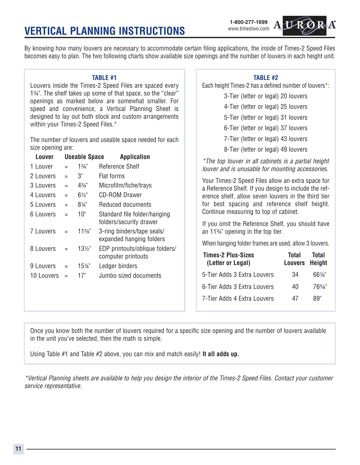# **VERTICAL PLANNING INSTRUCTIONS**



By knowing how many louvers are necessary to accommodate certain filing applications, the inside of Times-2 Speed Files becomes easy to plan. The two following charts show available size openings and the number of louvers in each height unit.

#### **TABLE #1**

Louvers inside the Times-2 Speed Files are spaced every 1%". The shelf takes up some of that space, so the "clear" openings as marked below are somewhat smaller. For speed and convenience, a Vertical Planning Sheet is designed to lay out both stock and custom arrangements within your Times-2 Speed Files.\*

The number of louvers and useable space needed for each size opening are:

| Louver     |     | <b>Useable Space</b> | <b>Application</b>                                      |
|------------|-----|----------------------|---------------------------------------------------------|
| 1 Louver   |     | $1\frac{3}{4}$ "     | Reference Shelf                                         |
| 2 Louvers  | $=$ | 3"                   | Flat forms                                              |
| 3 Louvers  | $=$ | 43⁄4"                | Microfilm/fiche/trays                                   |
| 4 Louvers  | $=$ | 6½"                  | <b>CD-ROM Drawer</b>                                    |
| 5 Louvers  | $=$ | 8¼"                  | Reduced documents                                       |
| 6 Louvers  | $=$ | 10"                  | Standard file folder/hanging<br>folders/security drawer |
| 7 Louvers  | $=$ | $11^{3/4}$           | 3-ring binders/tape seals/<br>expanded hanging folders  |
| 8 Louvers  |     | $13\frac{1}{2}$      | EDP printouts/oblique folders/<br>computer printouts    |
| 9 Louvers  | $=$ | 15¼"                 | Ledger binders                                          |
| 10 Louvers |     | 17"                  | Jumbo sized documents                                   |
|            |     |                      |                                                         |

#### **TABLE #2**

Each height Times-2 has a defined number of louvers\*:

3-Tier (letter or legal) 20 louvers

4-Tier (letter or legal) 25 louvers

5-Tier (letter or legal) 31 louvers

6-Tier (letter or legal) 37 louvers

7-Tier (letter or legal) 43 louvers

8-Tier (letter or legal) 49 louvers

*\*The top louver in all cabinets is a partial height louver and is unusable for mounting accessories.*

Your Times-2 Speed Files allow an extra space for a Reference Shelf. If you design to include the reference shelf, allow seven louvers in the third tier for best spacing and reference shelf height. Continue measuring to top of cabinet.

If you omit the Reference Shelf, you should have an  $11\frac{3}{4}$  opening in the top tier.

When hanging folder frames are used, allow 3 louvers.

| <b>Times-2 Plus-Sizes</b><br>(Letter or Legal) | <b>Total</b><br>Louvers Height | Total    |
|------------------------------------------------|--------------------------------|----------|
| 5-Tier Adds 3 Extra Louvers                    | 34                             | $66\%$ " |
| 6-Tier Adds 3 Extra Louvers                    | 40                             | $76\%$ " |
| 7-Tier Adds 4 Extra Louvers                    | 47                             | 89"      |

Once you know both the number of louvers required for a specific size opening and the number of louvers available in the unit you've selected, then the math is simple.

Using Table #1 and Table #2 above, you can mix and match easily! **It all adds up.**

*\*Vertical Planning sheets are available to help you design the interior of the Times-2 Speed Files. Contact your customer service representative.*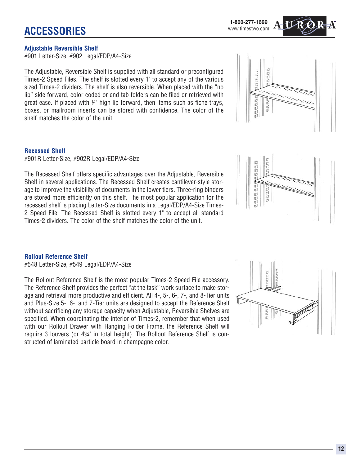#### **Adjustable Reversible Shelf**

#901 Letter-Size, #902 Legal/EDP/A4-Size

The Adjustable, Reversible Shelf is supplied with all standard or preconfigured Times-2 Speed Files. The shelf is slotted every 1" to accept any of the various sized Times-2 dividers. The shelf is also reversible. When placed with the "no lip" side forward, color coded or end tab folders can be filed or retrieved with great ease. If placed with  $\frac{1}{4}$ " high lip forward, then items such as fiche trays, boxes, or mailroom inserts can be stored with confidence. The color of the shelf matches the color of the unit.

#### **Recessed Shelf**

#901R Letter-Size, #902R Legal/EDP/A4-Size

The Recessed Shelf offers specific advantages over the Adjustable, Reversible Shelf in several applications. The Recessed Shelf creates cantilever-style storage to improve the visibility of documents in the lower tiers. Three-ring binders are stored more efficiently on this shelf. The most popular application for the recessed shelf is placing Letter-Size documents in a Legal/EDP/A4-Size Times-2 Speed File. The Recessed Shelf is slotted every 1" to accept all standard Times-2 dividers. The color of the shelf matches the color of the unit.

#### **Rollout Reference Shelf** #548 Letter-Size, #549 Legal/EDP/A4-Size

The Rollout Reference Shelf is the most popular Times-2 Speed File accessory. The Reference Shelf provides the perfect "at the task" work surface to make storage and retrieval more productive and efficient. All 4-, 5-, 6-, 7-, and 8-Tier units and Plus-Size 5-, 6-, and 7-Tier units are designed to accept the Reference Shelf without sacrificing any storage capacity when Adjustable, Reversible Shelves are specified. When coordinating the interior of Times-2, remember that when used with our Rollout Drawer with Hanging Folder Frame, the Reference Shelf will

structed of laminated particle board in champagne color.

require 3 louvers (or  $4\frac{3}{4}$ " in total height). The Rollout Reference Shelf is con-







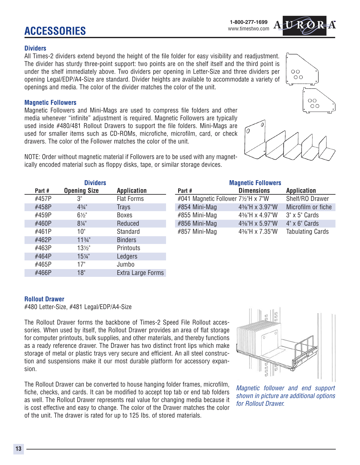**ACCESSORIES**

#### **Dividers**

All Times-2 dividers extend beyond the height of the file folder for easy visibility and readjustment. The divider has sturdy three-point support: two points are on the shelf itself and the third point is under the shelf immediately above. Two dividers per opening in Letter-Size and three dividers per opening Legal/EDP/A4-Size are standard. Divider heights are available to accommodate a variety of openings and media. The color of the divider matches the color of the unit.

### **Magnetic Followers**

Magnetic Followers and Mini-Mags are used to compress file folders and other media whenever "infinite" adjustment is required. Magnetic Followers are typically used inside #480/481 Rollout Drawers to support the file folders. Mini-Mags are used for smaller items such as CD-ROMs, microfiche, microfilm, card, or check drawers. The color of the Follower matches the color of the unit.

NOTE: Order without magnetic material if Followers are to be used with any magnetically encoded material such as floppy disks, tape, or similar storage devices.

|        | <b>Dividers</b>     |                    |                                   | <b>Magnetic Followers</b> |                         |
|--------|---------------------|--------------------|-----------------------------------|---------------------------|-------------------------|
| Part # | <b>Opening Size</b> | <b>Application</b> | Part #                            | <b>Dimensions</b>         | <b>Application</b>      |
| #457P  | 3"                  | <b>Flat Forms</b>  | #041 Magnetic Follower 7½"H x 7"W |                           | Shelf/RO Drawer         |
| #458P  | $4\frac{3}{4}$      | Trays              | #854 Mini-Mag                     | 4%"H x 3.97"W             | Microfilm or fiche      |
| #459P  | $6\frac{1}{2}$      | <b>Boxes</b>       | #855 Mini-Mag                     | 4%"H x 4.97"W             | $3" \times 5"$ Cards    |
| #460P  | $8\frac{1}{4}$ "    | Reduced            | #856 Mini-Mag                     | 4%"H x 5.97"W             | $4" \times 6"$ Cards    |
| #461P  | 10"                 | Standard           | #857 Mini-Mag                     | 4%"H x 7.35"W             | <b>Tabulating Cards</b> |
| #462P  | $11\frac{3}{4}$ "   | <b>Binders</b>     |                                   |                           |                         |
| #463P  | $13\frac{1}{2}$     | Printouts          |                                   |                           |                         |
| #464P  | 15¼"                | Ledgers            |                                   |                           |                         |
| #465P  | 17"                 | Jumbo              |                                   |                           |                         |
| #466P  | 18"                 | Extra Large Forms  |                                   |                           |                         |

## **Rollout Drawer**

#480 Letter-Size, #481 Legal/EDP/A4-Size

The Rollout Drawer forms the backbone of Times-2 Speed File Rollout accessories. When used by itself, the Rollout Drawer provides an area of flat storage for computer printouts, bulk supplies, and other materials, and thereby functions as a ready reference drawer. The Drawer has two distinct front lips which make storage of metal or plastic trays very secure and efficient. An all steel construction and suspensions make it our most durable platform for accessory expansion.

The Rollout Drawer can be converted to house hanging folder frames, microfilm, fiche, checks, and cards. It can be modified to accept top tab or end tab folders as well. The Rollout Drawer represents real value for changing media because it is cost effective and easy to change. The color of the Drawer matches the color of the unit. The drawer is rated for up to 125 Ibs. of stored materials.

*Magnetic follower and end support shown in picture are additional options for Rollout Drawer.*







 $\overline{O}O$ 0O





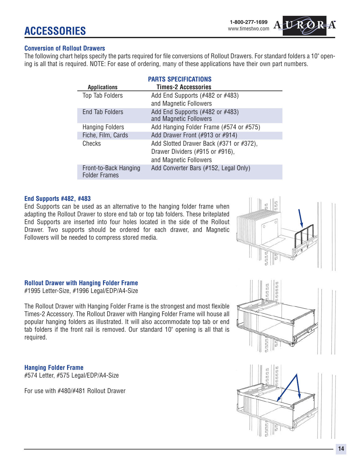#### **Conversion of Rollout Drawers**

The following chart helps specify the parts required for file conversions of Rollout Drawers. For standard folders a 10" opening is all that is required. NOTE: For ease of ordering, many of these applications have their own part numbers.

|                                               | <b>PARTS SPECIFICATIONS</b>                                                                          |
|-----------------------------------------------|------------------------------------------------------------------------------------------------------|
| <b>Applications</b>                           | <b>Times-2 Accessories</b>                                                                           |
| Top Tab Folders                               | Add End Supports $(*482$ or $*483)$<br>and Magnetic Followers                                        |
| <b>End Tab Folders</b>                        | Add End Supports (#482 or #483)<br>and Magnetic Followers                                            |
| <b>Hanging Folders</b>                        | Add Hanging Folder Frame (#574 or #575)                                                              |
| Fiche, Film, Cards                            | Add Drawer Front (#913 or #914)                                                                      |
| Checks                                        | Add Slotted Drawer Back (#371 or #372),<br>Drawer Dividers (#915 or #916),<br>and Magnetic Followers |
| Front-to-Back Hanging<br><b>Folder Frames</b> | Add Converter Bars (#152, Legal Only)                                                                |

#### **End Supports #482, #483**

End Supports can be used as an alternative to the hanging folder frame when adapting the Rollout Drawer to store end tab or top tab folders. These briteplated End Supports are inserted into four holes located in the side of the Rollout Drawer. Two supports should be ordered for each drawer, and Magnetic Followers will be needed to compress stored media.

#### **Rollout Drawer with Hanging Folder Frame**

#1995 Letter-Size, #1996 Legal/EDP/A4-Size

The Rollout Drawer with Hanging Folder Frame is the strongest and most flexible Times-2 Accessory. The Rollout Drawer with Hanging Folder Frame will house all popular hanging folders as illustrated. It will also accommodate top tab or end tab folders if the front rail is removed. Our standard 10" opening is all that is required.

**Hanging Folder Frame** #574 Letter, #575 Legal/EDP/A4-Size

For use with #480/#481 Rollout Drawer





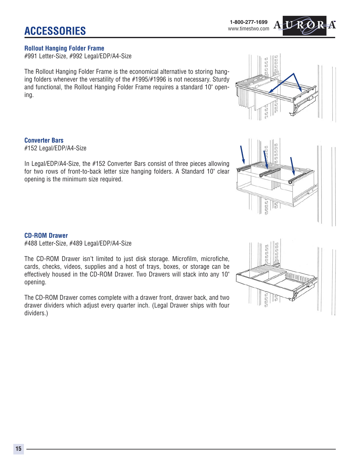**ACCESSORIES**

### **Rollout Hanging Folder Frame**

#991 Letter-Size, #992 Legal/EDP/A4-Size

The Rollout Hanging Folder Frame is the economical alternative to storing hanging folders whenever the versatility of the #1995/#1996 is not necessary. Sturdy and functional, the Rollout Hanging Folder Frame requires a standard 10" opening.

**Converter Bars** #152 Legal/EDP/A4-Size

In Legal/EDP/A4-Size, the #152 Converter Bars consist of three pieces allowing for two rows of front-to-back letter size hanging folders. A Standard 10" clear opening is the minimum size required.

#### **CD-ROM Drawer**

#488 Letter-Size, #489 Legal/EDP/A4-Size

The CD-ROM Drawer isn't limited to just disk storage. Microfilm, microfiche, cards, checks, videos, supplies and a host of trays, boxes, or storage can be effectively housed in the CD-ROM Drawer. Two Drawers will stack into any 10" opening.

The CD-ROM Drawer comes complete with a drawer front, drawer back, and two drawer dividers which adjust every quarter inch. (Legal Drawer ships with four dividers.)

UUUE **ANTIQUATION** 





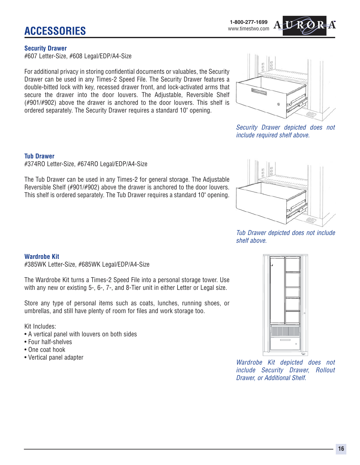#### **Security Drawer**

#607 Letter-Size, #608 Legal/EDP/A4-Size

For additional privacy in storing confidential documents or valuables, the Security Drawer can be used in any Times-2 Speed File. The Security Drawer features a double-bitted lock with key, recessed drawer front, and lock-activated arms that secure the drawer into the door louvers. The Adjustable, Reversible Shelf (#901/#902) above the drawer is anchored to the door louvers. This shelf is ordered separately. The Security Drawer requires a standard 10" opening.



*Security Drawer depicted does not include required shelf above.*

#### **Tub Drawer**

#374RO Letter-Size, #674RO Legal/EDP/A4-Size

The Tub Drawer can be used in any Times-2 for general storage. The Adjustable Reversible Shelf (#901/#902) above the drawer is anchored to the door louvers. This shelf is ordered separately. The Tub Drawer requires a standard 10" opening.



#385WK Letter-Size, #685WK Legal/EDP/A4-Size

The Wardrobe Kit turns a Times-2 Speed File into a personal storage tower. Use with any new or existing 5-, 6-, 7-, and 8-Tier unit in either Letter or Legal size.

Store any type of personal items such as coats, lunches, running shoes, or umbrellas, and still have plenty of room for files and work storage too.

Kit Includes:

- A vertical panel with louvers on both sides
- Four half-shelves
- One coat hook
- 



• Vertical panel adapter *Wardrobe Kit depicted does not include Security Drawer, Rollout Drawer, or Additional Shelf.*



*Tub Drawer depicted does not include shelf above.*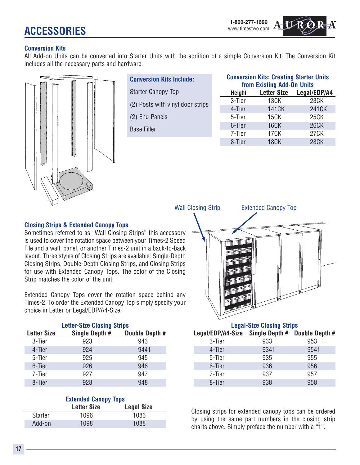## **ACCESSORIES**



#### **Conversion Kits**

All Add-on Units can be converted into Starter Units with the addition of a simple Conversion Kit. The Conversion Kit includes all the necessary parts and hardware.



| <b>Conversion Kits Include:</b> |  |
|---------------------------------|--|
|                                 |  |

- Starter Canopy Top (2) Posts with vinyl door strips
- (2) End Panels

Base Filler

| <b>Conversion Kits: Creating Starter Units</b><br>from Existing Add-On Units |                                    |             |  |
|------------------------------------------------------------------------------|------------------------------------|-------------|--|
| <b>Height</b>                                                                | <b>Letter Size</b><br>Legal/EDP/A4 |             |  |
| 3-Tier                                                                       | 13CK                               | 23CK        |  |
| 4-Tier                                                                       | <b>141CK</b>                       | 241CK       |  |
| 5-Tier                                                                       | 15CK                               | <b>25CK</b> |  |
| 6-Tier                                                                       | <b>16CK</b>                        | <b>26CK</b> |  |
| 7-Tier                                                                       | 17 <sub>C</sub> K                  | <b>27CK</b> |  |
| 8-Tier                                                                       | <b>18CK</b>                        | <b>28CK</b> |  |

#### **Closing Strips & Extended Canopy Tops**

Sometimes referred to as "Wall Closing Strips" this accessory is used to cover the rotation space between your Times-2 Speed File and a wall, panel, or another Times-2 unit in a back-to-back layout. Three styles of Closing Strips are available: Single-Depth Closing Strips, Double-Depth Closing Strips, and Closing Strips for use with Extended Canopy Tops. The color of the Closing Strip matches the color of the unit.

Extended Canopy Tops cover the rotation space behind any Times-2. To order the Extended Canopy Top simply specify your choice in Letter or Legal/EDP/A4-Size.

| <b>Letter-Size Closing Strips</b> |                |                |  |
|-----------------------------------|----------------|----------------|--|
| <b>Letter Size</b>                | Single Depth # | Double Depth # |  |
| 3-Tier                            | 923            | 943            |  |
| 4-Tier                            | 9241           | 9441           |  |
| 5-Tier                            | 925            | 945            |  |
| 6-Tier                            | 926            | 946            |  |
| 7-Tier                            | 927            | 947            |  |
| 8-Tier                            | 928            | 948            |  |

|         | <b>Extended Canopy Tops</b> |                   |
|---------|-----------------------------|-------------------|
|         | <b>Letter Size</b>          | <b>Legal Size</b> |
| Starter | 1096                        | 1086              |
| Add-on  | 1098                        | 1088              |



#### **Legal-Size Closing Strips Legal/EDP/A4-Size Single Depth # Double Depth #** 3-Tier 933 953 4-Tier 9341 9541 5-Tier 935 955 6-Tier 936 956 7-Tier 937 957 8-Tier 938 958

Closing strips for extended canopy tops can be ordered by using the same part numbers in the closing strip charts above. Simply preface the number with a "1".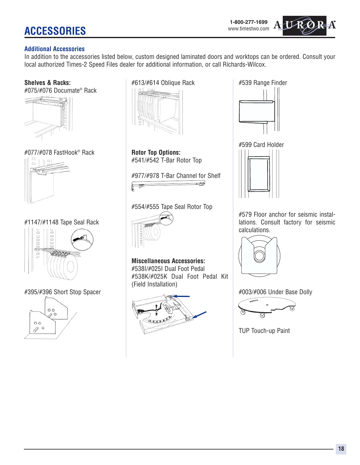# **ACCESSORIES**

#### **Additional Accessories**

In addition to the accessories listed below, custom designed laminated doors and worktops can be ordered. Consult your local authorized Times-2 Speed Files dealer for additional information, or call Richards-Wilcox.

**Shelves & Racks:**

#075/#076 Documate® Rack



#077/#078 FastHook® Rack



#1147/#1148 Tape Seal Rack



#395/#396 Short Stop Spacer



#613/#614 Oblique Rack



**Rotor Top Options:** #541/#542 T-Bar Rotor Top

#977/#978 T-Bar Channel for Shelf <u>. S</u>



#554/#555 Tape Seal Rotor Top



**Miscellaneous Accessories:** #538I/#025I Dual Foot Pedal #538K/#025K Dual Foot Pedal Kit (Field Installation)



#539 Range Finder



#599 Card Holder



#579 Floor anchor for seismic installations. Consult factory for seismic calculations.



#003/#006 Under Base Dolly



TUP Touch-up Paint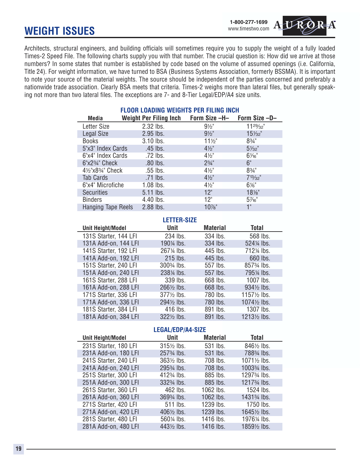## **WEIGHT ISSUES**



Architects, structural engineers, and building officials will sometimes require you to supply the weight of a fully loaded Times-2 Speed File. The following charts supply you with that number. The crucial question is: How did we arrive at those numbers? In some states that number is established by code based on the volume of assumed openings (i.e. California, Title 24). For weight information, we have turned to BSA (Business Systems Association, formerly BSSMA). It is important to note your source of the material weights. The source should be independent of the parties concerned and preferably a nationwide trade association. Clearly BSA meets that criteria. Times-2 weighs more than lateral files, but generally speaking not more than two lateral files. The exceptions are 7- and 8-Tier Legal/EDP/A4 size units.

| <b>FLOOR LOADING WEIGHTS PER FILING INCH</b>       |  |  |  |  |  |
|----------------------------------------------------|--|--|--|--|--|
| Weight Per Filing Inch Form Size -H- Form Size -D- |  |  |  |  |  |
| $11^{29}/32"$                                      |  |  |  |  |  |
| $15\frac{1}{32}$                                   |  |  |  |  |  |
|                                                    |  |  |  |  |  |
|                                                    |  |  |  |  |  |
|                                                    |  |  |  |  |  |
|                                                    |  |  |  |  |  |
|                                                    |  |  |  |  |  |
| $7^{13}/_{32}$ "                                   |  |  |  |  |  |
|                                                    |  |  |  |  |  |
|                                                    |  |  |  |  |  |
|                                                    |  |  |  |  |  |
|                                                    |  |  |  |  |  |
| 18%"                                               |  |  |  |  |  |

#### **LETTER-SIZE**

| <b>Unit Height/Model</b> | Unit                                 | <b>Material</b> | <b>Total</b>                         |
|--------------------------|--------------------------------------|-----------------|--------------------------------------|
| 131S Starter, 144 LFI    | 234 lbs.                             | 334 lbs.        | 568 lbs.                             |
| 131A Add-on, 144 LFI     | 190¼ lbs.                            | 334 lbs.        | 524 <sup>/4</sup> lbs.               |
| 141S Starter, 192 LFI    | 267¼ lbs.                            | 445 lbs.        | 712¼ lbs.                            |
| 141A Add-on, 192 LFI     | 215 lbs.                             | 445 lbs.        | 660 lbs.                             |
| 151S Starter, 240 LFI    | 300 <sup>3</sup> / <sub>4</sub> lbs. | 557 lbs.        | 857 <sup>3</sup> / <sub>4</sub> lbs. |
| 151A Add-on, 240 LFI     | 238¼ lbs.                            | 557 lbs.        | 795¼ lbs.                            |
| 161S Starter, 288 LFI    | 339 lbs.                             | 668 lbs.        | 1007 lbs.                            |
| 161A Add-on, 288 LFI     | 2661/ <sub>2</sub> lbs.              | 668 lbs.        | 934½ lbs.                            |
| 171S Starter, 336 LFI    | $377\frac{1}{2}$ lbs.                | 780 lbs.        | 1157 <sup>/2</sup> lbs.              |
| 171A Add-on, 336 LFI     | 294½ lbs.                            | 780 lbs.        | 1074½ lbs.                           |
| 181S Starter, 384 LFI    | 416 lbs.                             | 891 lbs.        | 1307 lbs.                            |
| 181A Add-on, 384 LFI     | 3221/2 lbs.                          | 891 lbs.        | 1213 <sup>/2</sup> lbs.              |

#### **LEGAL/EDP/A4-SIZE**

| <b>Unit Height/Model</b> | Unit                                 | <b>Material</b> | <b>Total</b>                          |
|--------------------------|--------------------------------------|-----------------|---------------------------------------|
| 231S Starter, 180 LFI    | 315 <sup>/2</sup> lbs.               | 531 lbs.        | 8461/ <sub>2</sub> lbs.               |
| 231A Add-on, 180 LFI     | 257 <sup>3</sup> / <sub>4</sub> lbs. | 531 lbs.        | 788 <sup>3</sup> / <sub>4</sub> lbs.  |
| 241S Starter, 240 LFI    | $363\frac{1}{2}$ lbs.                | 708 lbs.        | 1071 <sup>/2</sup> lbs.               |
| 241A Add-on, 240 LFI     | 295 <sup>3</sup> / <sub>4</sub> lbs. | 708 lbs.        | 1003 <sup>3</sup> / <sub>4</sub> lbs. |
| 251S Starter, 300 LFI    | 412 <sup>3</sup> / <sub>4</sub> lbs. | 885 lbs.        | 1297 <sup>3</sup> /4 lbs.             |
| 251A Add-on, 300 LFI     | 332 <sup>3</sup> / <sub>4</sub> lbs. | 885 lbs.        | 1217 <sup>3</sup> / <sub>4</sub> lbs. |
| 261S Starter, 360 LFI    | 462 lbs.                             | 1062 lbs.       | 1524 lbs.                             |
| 261A Add-on, 360 LFI     | 369 <sup>3</sup> / <sub>4</sub> lbs. | 1062 lbs.       | 1431 <sup>3</sup> / <sub>4</sub> lbs. |
| 271S Starter, 420 LFI    | 511 lbs.                             | 1239 lbs.       | 1750 lbs.                             |
| 271A Add-on, 420 LFI     | 406½ lbs.                            | 1239 lbs.       | 1645½ lbs.                            |
| 281S Starter, 480 LFI    | 560 <sup>/4</sup> lbs.               | 1416 lbs.       | 1976¼ lbs.                            |
| 281A Add-on, 480 LFI     | 443 <sup>1/2</sup> lbs.              | 1416 lbs.       | 18591/2 lbs.                          |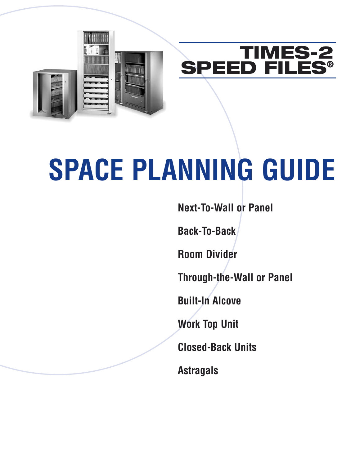



# **SPACE PLANNING GUIDE**

**Next-To-Wall or Panel**

**Back-To-Back**

**Room Divider**

**Through-the-Wall or Panel**

**Built-In Alcove**

**Work Top Unit**

**Closed-Back Units**

**Astragals**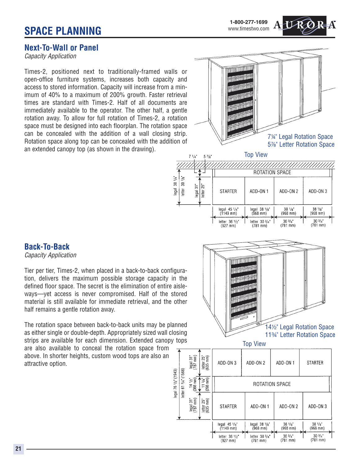## **Next-To-Wall or Panel**

*Capacity Application*

Times-2, positioned next to traditionally-framed walls or open-office furniture systems, increases both capacity and access to stored information. Capacity will increase from a minimum of 40% to a maximum of 200% growth. Faster retrieval times are standard with Times-2. Half of all documents are immediately available to the operator. The other half, a gentle rotation away. To allow for full rotation of Times-2, a rotation space must be designed into each floorplan. The rotation space can be concealed with the addition of a wall closing strip. Rotation space along top can be concealed with the addition of an extended canopy top (as shown in the drawing).



Top View



## **Back-To-Back**

*Capacity Application*

Tier per tier, Times-2, when placed in a back-to-back configuration, delivers the maximum possible storage capacity in the defined floor space. The secret is the elimination of entire aisleways—yet access is never compromised. Half of the stored material is still available for immediate retrieval, and the other half remains a gentle rotation away.

The rotation space between back-to-back units may be planned as either single or double-depth. Appropriately sized wall closing strips are available for each dimension. Extended canopy tops

egal 76 1/2" (1943)

are also available to conceal the rotation space from above. In shorter heights, custom wood tops are also an attractive option.



| letter 61 3/4" (1568) | $\frac{logat}{(787 \text{ mm})}$<br>14 1/2"<br>(368 mm) | letter 25"<br>(635 mm)<br>$(298 \text{ mm})$<br>$\frac{3}{4}$ | ADD-ON 3                                                                                 | ADD-ON 2                                                               | ADD-ON 1<br>ROTATION SPACE                                     | <b>STARTER</b>                                                   |
|-----------------------|---------------------------------------------------------|---------------------------------------------------------------|------------------------------------------------------------------------------------------|------------------------------------------------------------------------|----------------------------------------------------------------|------------------------------------------------------------------|
|                       | $\frac{1}{2}$  egal 31"                                 | $\frac{25}{100}$<br>$\frac{let}{1035}$                        | <b>STARTER</b>                                                                           | ADD-ON 1                                                               | ADD-ON <sub>2</sub>                                            | ADD-ON 3                                                         |
|                       |                                                         |                                                               | legal $45 \frac{1}{4}$<br>$(1149$ mm)<br>letter $36 \frac{1}{2}$<br>$(927 \, \text{mm})$ | legal 38 1/s''<br>$(968 \, \text{mm})$<br>letter 30 3/4"<br>$(781$ mm) | $38 \frac{1}{8}$<br>$(968$ mm $)$<br>$30^{3}/4"$<br>$(781$ mm) | $38 \frac{1}{8}$<br>$(968 \, \text{mm})$<br>303/4"<br>$(781$ mm) |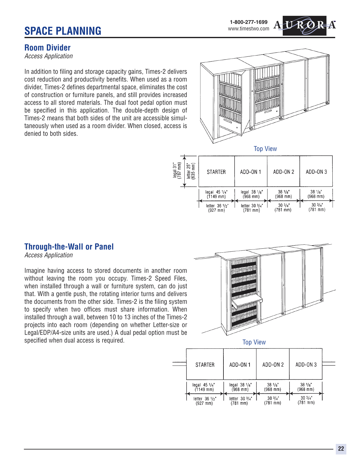**1-800-277-1699** www.timestwo.com

## **Room Divider**

*Access Application*

In addition to filing and storage capacity gains, Times-2 delivers cost reduction and productivity benefits. When used as a room divider, Times-2 defines departmental space, eliminates the cost of construction or furniture panels, and still provides increased access to all stored materials. The dual foot pedal option must be specified in this application. The double-depth design of Times-2 means that both sides of the unit are accessible simultaneously when used as a room divider. When closed, access is denied to both sides.





## **Through-the-Wall or Panel**

*Access Application*

Imagine having access to stored documents in another room without leaving the room you occupy. Times-2 Speed Files, when installed through a wall or furniture system, can do just that. With a gentle push, the rotating interior turns and delivers the documents from the other side. Times-2 is the filing system to specify when two offices must share information. When installed through a wall, between 10 to 13 inches of the Times-2 projects into each room (depending on whether Letter-size or Legal/EDP/A4-size units are used.) A dual pedal option must be specified when dual access is required.



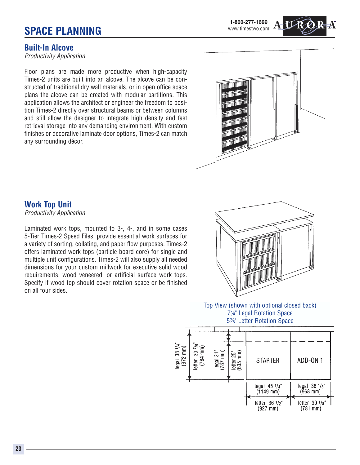**1-800-277-1699** www.timestwo.com

### **Built-In Alcove**

*Productivity Application*

Floor plans are made more productive when high-capacity Times-2 units are built into an alcove. The alcove can be constructed of traditional dry wall materials, or in open office space plans the alcove can be created with modular partitions. This application allows the architect or engineer the freedom to position Times-2 directly over structural beams or between columns and still allow the designer to integrate high density and fast retrieval storage into any demanding environment. With custom finishes or decorative laminate door options, Times-2 can match any surrounding décor.



## **Work Top Unit**

*Productivity Application*

Laminated work tops, mounted to 3-, 4-, and in some cases 5-Tier Times-2 Speed Files, provide essential work surfaces for a variety of sorting, collating, and paper flow purposes. Times-2 offers laminated work tops (particle board core) for single and multiple unit configurations. Times-2 will also supply all needed dimensions for your custom millwork for executive solid wood requirements, wood veneered, or artificial surface work tops. Specify if wood top should cover rotation space or be finished on all four sides.

![](_page_23_Picture_9.jpeg)

Top View (shown with optional closed back) 74" Legal Rotation Space 5%" Letter Rotation Space

![](_page_23_Figure_11.jpeg)

**23**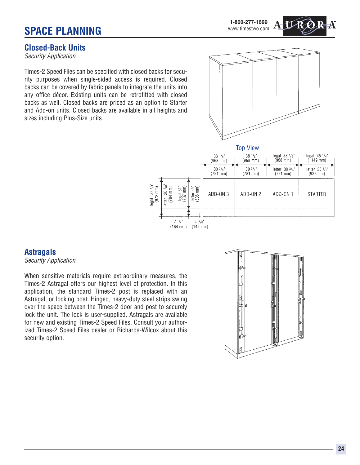**1-800-277-1699** www.timestwo.com

## **Closed-Back Units**

*Security Application*

Times-2 Speed Files can be specified with closed backs for security purposes when single-sided access is required. Closed backs can be covered by fabric panels to integrate the units into any office décor. Existing units can be retrofitted with closed backs as well. Closed backs are priced as an option to Starter and Add-on units. Closed backs are available in all heights and sizes including Plus-Size units.

![](_page_24_Figure_5.jpeg)

![](_page_24_Figure_6.jpeg)

## **Astragals**

*Security Application*

When sensitive materials require extraordinary measures, the Times-2 Astragal offers our highest level of protection. In this application, the standard Times-2 post is replaced with an Astragal, or locking post. Hinged, heavy-duty steel strips swing over the space between the Times-2 door and post to securely lock the unit. The lock is user-supplied. Astragals are available for new and existing Times-2 Speed Files. Consult your authorized Times-2 Speed Files dealer or Richards-Wilcox about this security option.

![](_page_24_Picture_10.jpeg)

![](_page_24_Picture_11.jpeg)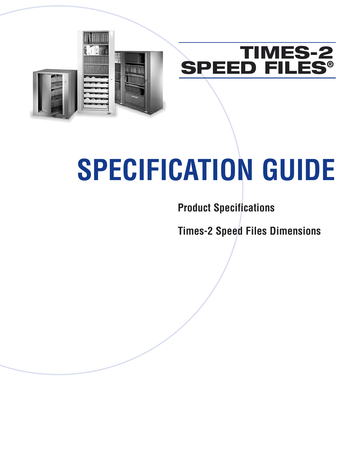![](_page_26_Picture_0.jpeg)

# **SPECIFICATION GUIDE**

**Product Specifications**

**Times-2 Speed Files Dimensions**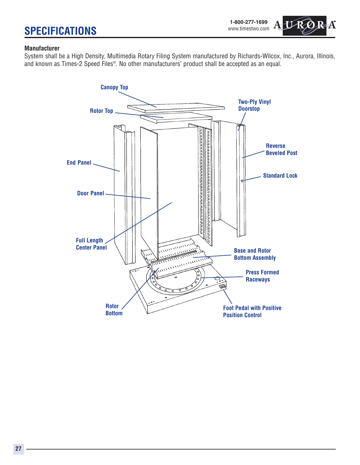A

#### **Manufacturer**

System shall be a High Density, Multimedia Rotary Filing System manufactured by Richards-Wilcox, Inc., Aurora, Illinois, and known as Times-2 Speed Files®. No other manufacturers' product shall be accepted as an equal.

![](_page_27_Figure_4.jpeg)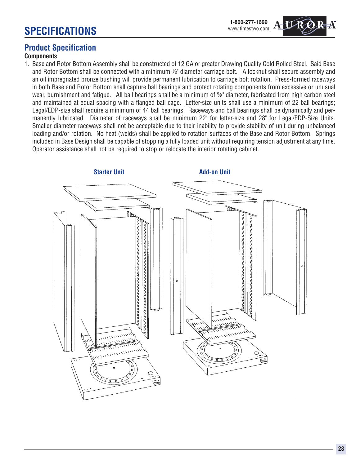![](_page_28_Picture_1.jpeg)

## **Product Specification**

#### **Components**

1. Base and Rotor Bottom Assembly shall be constructed of 12 GA or greater Drawing Quality Cold Rolled Steel. Said Base and Rotor Bottom shall be connected with a minimum  $1/2$ " diameter carriage bolt. A locknut shall secure assembly and an oil impregnated bronze bushing will provide permanent lubrication to carriage bolt rotation. Press-formed raceways in both Base and Rotor Bottom shall capture ball bearings and protect rotating components from excessive or unusual wear, burnishment and fatigue. All ball bearings shall be a minimum of 5%" diameter, fabricated from high carbon steel and maintained at equal spacing with a flanged ball cage. Letter-size units shall use a minimum of 22 ball bearings; Legal/EDP-size shall require a minimum of 44 ball bearings. Raceways and ball bearings shall be dynamically and permanently lubricated. Diameter of raceways shall be minimum 22" for letter-size and 28" for Legal/EDP-Size Units. Smaller diameter raceways shall not be acceptable due to their inability to provide stability of unit during unbalanced loading and/or rotation. No heat (welds) shall be applied to rotation surfaces of the Base and Rotor Bottom. Springs included in Base Design shall be capable of stopping a fully loaded unit without requiring tension adjustment at any time. Operator assistance shall not be required to stop or relocate the interior rotating cabinet.

![](_page_28_Figure_5.jpeg)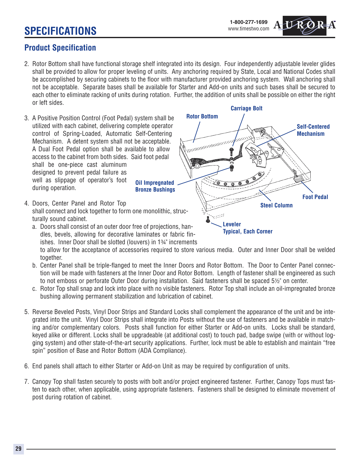## **Product Specification**

- 2. Rotor Bottom shall have functional storage shelf integrated into its design. Four independently adjustable leveler glides shall be provided to allow for proper leveling of units. Any anchoring required by State, Local and National Codes shall be accomplished by securing cabinets to the floor with manufacturer provided anchoring system. Wall anchoring shall not be acceptable. Separate bases shall be available for Starter and Add-on units and such bases shall be secured to each other to eliminate racking of units during rotation. Further, the addition of units shall be possible on either the right or left sides. **Carriage Bolt**
- 3. A Positive Position Control (Foot Pedal) system shall be utilized with each cabinet, delivering complete operator control of Spring-Loaded, Automatic Self-Centering Mechanism. A detent system shall not be acceptable. A Dual Foot Pedal option shall be available to allow access to the cabinet from both sides. Said foot pedal shall be one-piece cast aluminum designed to prevent pedal failure as well as slippage of operator's foot during operation. **Oil Impregnated Bronze Bushings**
- 4. Doors, Center Panel and Rotor Top shall connect and lock together to form one monolithic, structurally sound cabinet.
	- a. Doors shall consist of an outer door free of projections, handles, bevels, allowing for decorative laminates or fabric finishes. Inner Door shall be slotted (louvers) in  $1\frac{3}{4}$ " increments

![](_page_29_Figure_7.jpeg)

to allow for the acceptance of accessories required to store various media. Outer and Inner Door shall be welded together.

- b. Center Panel shall be triple-flanged to meet the Inner Doors and Rotor Bottom. The Door to Center Panel connection will be made with fasteners at the Inner Door and Rotor Bottom. Length of fastener shall be engineered as such to not emboss or perforate Outer Door during installation. Said fasteners shall be spaced 5½" on center.
- c. Rotor Top shall snap and lock into place with no visible fasteners. Rotor Top shall include an oil-impregnated bronze bushing allowing permanent stabilization and lubrication of cabinet.
- 5. Reverse Beveled Posts, Vinyl Door Strips and Standard Locks shall complement the appearance of the unit and be integrated into the unit. Vinyl Door Strips shall integrate into Posts without the use of fasteners and be available in matching and/or complementary colors. Posts shall function for either Starter or Add-on units. Locks shall be standard, keyed alike or different. Locks shall be upgradeable (at additional cost) to touch pad, badge swipe (with or without logging system) and other state-of-the-art security applications. Further, lock must be able to establish and maintain "free spin" position of Base and Rotor Bottom (ADA Compliance).
- 6. End panels shall attach to either Starter or Add-on Unit as may be required by configuration of units.
- 7. Canopy Top shall fasten securely to posts with bolt and/or project engineered fastener. Further, Canopy Tops must fasten to each other, when applicable, using appropriate fasteners. Fasteners shall be designed to eliminate movement of post during rotation of cabinet.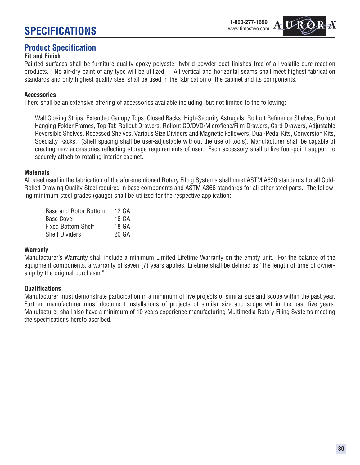#### **1-800-277-1699** www.timestwo.com

## **Product Specification**

## **Fit and Finish**

Painted surfaces shall be furniture quality epoxy-polyester hybrid powder coat finishes free of all volatile cure-reaction products. No air-dry paint of any type will be utilized. All vertical and horizontal seams shall meet highest fabrication standards and only highest quality steel shall be used in the fabrication of the cabinet and its components.

#### **Accessories**

There shall be an extensive offering of accessories available including, but not limited to the following:

Wall Closing Strips, Extended Canopy Tops, Closed Backs, High-Security Astragals, Rollout Reference Shelves, Rollout Hanging Folder Frames, Top Tab Rollout Drawers, Rollout CD/DVD/Microfiche/Film Drawers, Card Drawers, Adjustable Reversible Shelves, Recessed Shelves, Various Size Dividers and Magnetic Followers, Dual-Pedal Kits, Conversion Kits, Specialty Racks. (Shelf spacing shall be user-adjustable without the use of tools). Manufacturer shall be capable of creating new accessories reflecting storage requirements of user. Each accessory shall utilize four-point support to securely attach to rotating interior cabinet.

#### **Materials**

All steel used in the fabrication of the aforementioned Rotary Filing Systems shall meet ASTM A620 standards for all Cold-Rolled Drawing Quality Steel required in base components and ASTM A366 standards for all other steel parts. The following minimum steel grades (gauge) shall be utilized for the respective application:

| Base and Rotor Bottom     | 12 GA |
|---------------------------|-------|
| Base Cover                | 16 GA |
| <b>Fixed Bottom Shelf</b> | 18 GA |
| <b>Shelf Dividers</b>     | 20 GA |

#### **Warranty**

Manufacturer's Warranty shall include a minimum Limited Lifetime Warranty on the empty unit. For the balance of the equipment components, a warranty of seven (7) years applies. Lifetime shall be defined as "the length of time of ownership by the original purchaser."

#### **Qualifications**

Manufacturer must demonstrate participation in a minimum of five projects of similar size and scope within the past year. Further, manufacturer must document installations of projects of similar size and scope within the past five years. Manufacturer shall also have a minimum of 10 years experience manufacturing Multimedia Rotary Filing Systems meeting the specifications hereto ascribed.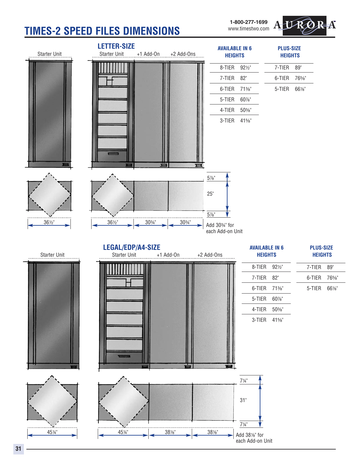# **TIMES-2 SPEED FILES DIMENSIONS**

**1-800-277-1699** www.timestwo.com

![](_page_31_Picture_2.jpeg)

![](_page_31_Figure_3.jpeg)